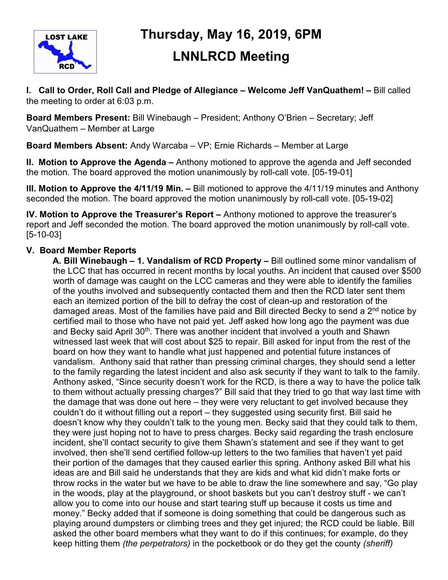

# **Thursday, May 16, 2019, 6PM LNNLRCD Meeting**

**I. Call to Order, Roll Call and Pledge of Allegiance – Welcome Jeff VanQuathem! –** Bill called the meeting to order at 6:03 p.m.

**Board Members Present:** Bill Winebaugh – President; Anthony O'Brien – Secretary; Jeff VanQuathem – Member at Large

**Board Members Absent:** Andy Warcaba – VP; Ernie Richards – Member at Large

**II. Motion to Approve the Agenda –** Anthony motioned to approve the agenda and Jeff seconded the motion. The board approved the motion unanimously by roll-call vote. [05-19-01]

**III. Motion to Approve the 4/11/19 Min. –** Bill motioned to approve the 4/11/19 minutes and Anthony seconded the motion. The board approved the motion unanimously by roll-call vote. [05-19-02]

**IV. Motion to Approve the Treasurer's Report –** Anthony motioned to approve the treasurer's report and Jeff seconded the motion. The board approved the motion unanimously by roll-call vote. [5-10-03]

## **V. Board Member Reports**

 **A. Bill Winebaugh – 1. Vandalism of RCD Property –** Bill outlined some minor vandalism of the LCC that has occurred in recent months by local youths. An incident that caused over \$500 worth of damage was caught on the LCC cameras and they were able to identify the families of the youths involved and subsequently contacted them and then the RCD later sent them each an itemized portion of the bill to defray the cost of clean-up and restoration of the damaged areas. Most of the families have paid and Bill directed Becky to send a 2<sup>nd</sup> notice by certified mail to those who have not paid yet. Jeff asked how long ago the payment was due and Becky said April 30<sup>th</sup>. There was another incident that involved a youth and Shawn witnessed last week that will cost about \$25 to repair. Bill asked for input from the rest of the board on how they want to handle what just happened and potential future instances of vandalism. Anthony said that rather than pressing criminal charges, they should send a letter to the family regarding the latest incident and also ask security if they want to talk to the family. Anthony asked, "Since security doesn't work for the RCD, is there a way to have the police talk to them without actually pressing charges?" Bill said that they tried to go that way last time with the damage that was done out here – they were very reluctant to get involved because they couldn't do it without filling out a report – they suggested using security first. Bill said he doesn't know why they couldn't talk to the young men. Becky said that they could talk to them, they were just hoping not to have to press charges. Becky said regarding the trash enclosure incident, she'll contact security to give them Shawn's statement and see if they want to get involved, then she'll send certified follow-up letters to the two families that haven't yet paid their portion of the damages that they caused earlier this spring. Anthony asked Bill what his ideas are and Bill said he understands that they are kids and what kid didn't make forts or throw rocks in the water but we have to be able to draw the line somewhere and say, "Go play in the woods, play at the playground, or shoot baskets but you can't destroy stuff - we can't allow you to come into our house and start tearing stuff up because it costs us time and money." Becky added that if someone is doing something that could be dangerous such as playing around dumpsters or climbing trees and they get injured; the RCD could be liable. Bill asked the other board members what they want to do if this continues; for example, do they keep hitting them *(the perpetrators)* in the pocketbook or do they get the county *(sheriff)*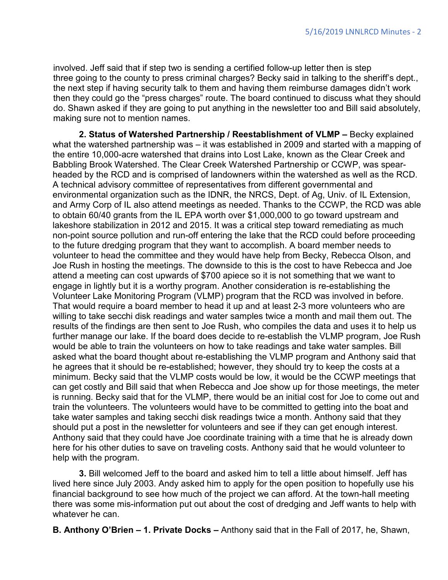involved. Jeff said that if step two is sending a certified follow-up letter then is step three going to the county to press criminal charges? Becky said in talking to the sheriff's dept., the next step if having security talk to them and having them reimburse damages didn't work then they could go the "press charges" route. The board continued to discuss what they should do. Shawn asked if they are going to put anything in the newsletter too and Bill said absolutely, making sure not to mention names.

**2. Status of Watershed Partnership / Reestablishment of VLMP –** Becky explained what the watershed partnership was – it was established in 2009 and started with a mapping of the entire 10,000-acre watershed that drains into Lost Lake, known as the Clear Creek and Babbling Brook Watershed. The Clear Creek Watershed Partnership or CCWP, was spearheaded by the RCD and is comprised of landowners within the watershed as well as the RCD. A technical advisory committee of representatives from different governmental and environmental organization such as the IDNR, the NRCS, Dept. of Ag, Univ. of IL Extension, and Army Corp of IL also attend meetings as needed. Thanks to the CCWP, the RCD was able to obtain 60/40 grants from the IL EPA worth over \$1,000,000 to go toward upstream and lakeshore stabilization in 2012 and 2015. It was a critical step toward remediating as much non-point source pollution and run-off entering the lake that the RCD could before proceeding to the future dredging program that they want to accomplish. A board member needs to volunteer to head the committee and they would have help from Becky, Rebecca Olson, and Joe Rush in hosting the meetings. The downside to this is the cost to have Rebecca and Joe attend a meeting can cost upwards of \$700 apiece so it is not something that we want to engage in lightly but it is a worthy program. Another consideration is re-establishing the Volunteer Lake Monitoring Program (VLMP) program that the RCD was involved in before. That would require a board member to head it up and at least 2-3 more volunteers who are willing to take secchi disk readings and water samples twice a month and mail them out. The results of the findings are then sent to Joe Rush, who compiles the data and uses it to help us further manage our lake. If the board does decide to re-establish the VLMP program, Joe Rush would be able to train the volunteers on how to take readings and take water samples. Bill asked what the board thought about re-establishing the VLMP program and Anthony said that he agrees that it should be re-established; however, they should try to keep the costs at a minimum. Becky said that the VLMP costs would be low, it would be the CCWP meetings that can get costly and Bill said that when Rebecca and Joe show up for those meetings, the meter is running. Becky said that for the VLMP, there would be an initial cost for Joe to come out and train the volunteers. The volunteers would have to be committed to getting into the boat and take water samples and taking secchi disk readings twice a month. Anthony said that they should put a post in the newsletter for volunteers and see if they can get enough interest. Anthony said that they could have Joe coordinate training with a time that he is already down here for his other duties to save on traveling costs. Anthony said that he would volunteer to help with the program.

**3.** Bill welcomed Jeff to the board and asked him to tell a little about himself. Jeff has lived here since July 2003. Andy asked him to apply for the open position to hopefully use his financial background to see how much of the project we can afford. At the town-hall meeting there was some mis-information put out about the cost of dredging and Jeff wants to help with whatever he can.

 **B. Anthony O'Brien – 1. Private Docks –** Anthony said that in the Fall of 2017, he, Shawn,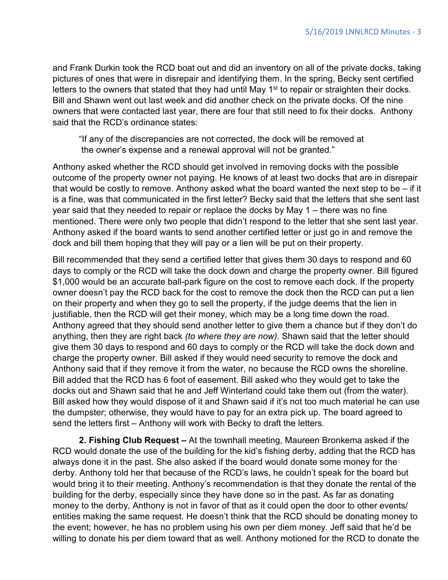and Frank Durkin took the RCD boat out and did an inventory on all of the private docks, taking pictures of ones that were in disrepair and identifying them. In the spring, Becky sent certified letters to the owners that stated that they had until May 1<sup>st</sup> to repair or straighten their docks. Bill and Shawn went out last week and did another check on the private docks. Of the nine owners that were contacted last year, there are four that still need to fix their docks. Anthony said that the RCD's ordinance states:

"If any of the discrepancies are not corrected, the dock will be removed at the owner's expense and a renewal approval will not be granted."

Anthony asked whether the RCD should get involved in removing docks with the possible outcome of the property owner not paying. He knows of at least two docks that are in disrepair that would be costly to remove. Anthony asked what the board wanted the next step to be – if it is a fine, was that communicated in the first letter? Becky said that the letters that she sent last year said that they needed to repair or replace the docks by May 1 – there was no fine mentioned. There were only two people that didn't respond to the letter that she sent last year. Anthony asked if the board wants to send another certified letter or just go in and remove the dock and bill them hoping that they will pay or a lien will be put on their property.

Bill recommended that they send a certified letter that gives them 30 days to respond and 60 days to comply or the RCD will take the dock down and charge the property owner. Bill figured \$1,000 would be an accurate ball-park figure on the cost to remove each dock. If the property owner doesn't pay the RCD back for the cost to remove the dock then the RCD can put a lien on their property and when they go to sell the property, if the judge deems that the lien in justifiable, then the RCD will get their money, which may be a long time down the road. Anthony agreed that they should send another letter to give them a chance but if they don't do anything, then they are right back *(to where they are now).* Shawn said that the letter should give them 30 days to respond and 60 days to comply or the RCD will take the dock down and charge the property owner. Bill asked if they would need security to remove the dock and Anthony said that if they remove it from the water, no because the RCD owns the shoreline. Bill added that the RCD has 6 foot of easement. Bill asked who they would get to take the docks out and Shawn said that he and Jeff Winterland could take them out (from the water). Bill asked how they would dispose of it and Shawn said if it's not too much material he can use the dumpster; otherwise, they would have to pay for an extra pick up. The board agreed to send the letters first – Anthony will work with Becky to draft the letters.

**2. Fishing Club Request –** At the townhall meeting, Maureen Bronkema asked if the RCD would donate the use of the building for the kid's fishing derby, adding that the RCD has always done it in the past. She also asked if the board would donate some money for the derby. Anthony told her that because of the RCD's laws, he couldn't speak for the board but would bring it to their meeting. Anthony's recommendation is that they donate the rental of the building for the derby, especially since they have done so in the past. As far as donating money to the derby, Anthony is not in favor of that as it could open the door to other events/ entities making the same request. He doesn't think that the RCD should be donating money to the event; however, he has no problem using his own per diem money. Jeff said that he'd be willing to donate his per diem toward that as well. Anthony motioned for the RCD to donate the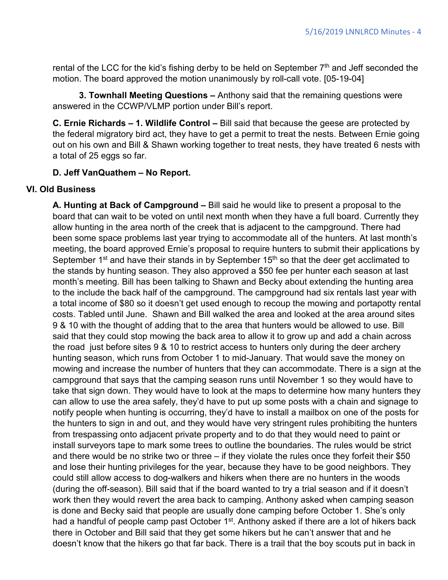rental of the LCC for the kid's fishing derby to be held on September  $7<sup>th</sup>$  and Jeff seconded the motion. The board approved the motion unanimously by roll-call vote. [05-19-04]

**3. Townhall Meeting Questions –** Anthony said that the remaining questions were answered in the CCWP/VLMP portion under Bill's report.

**C. Ernie Richards – 1. Wildlife Control –** Bill said that because the geese are protected by the federal migratory bird act, they have to get a permit to treat the nests. Between Ernie going out on his own and Bill & Shawn working together to treat nests, they have treated 6 nests with a total of 25 eggs so far.

#### **D. Jeff VanQuathem – No Report.**

#### **VI. Old Business**

**A. Hunting at Back of Campground –** Bill said he would like to present a proposal to the board that can wait to be voted on until next month when they have a full board. Currently they allow hunting in the area north of the creek that is adjacent to the campground. There had been some space problems last year trying to accommodate all of the hunters. At last month's meeting, the board approved Ernie's proposal to require hunters to submit their applications by September 1<sup>st</sup> and have their stands in by September 15<sup>th</sup> so that the deer get acclimated to the stands by hunting season. They also approved a \$50 fee per hunter each season at last month's meeting. Bill has been talking to Shawn and Becky about extending the hunting area to the include the back half of the campground. The campground had six rentals last year with a total income of \$80 so it doesn't get used enough to recoup the mowing and portapotty rental costs. Tabled until June. Shawn and Bill walked the area and looked at the area around sites 9 & 10 with the thought of adding that to the area that hunters would be allowed to use. Bill said that they could stop mowing the back area to allow it to grow up and add a chain across the road just before sites 9 & 10 to restrict access to hunters only during the deer archery hunting season, which runs from October 1 to mid-January. That would save the money on mowing and increase the number of hunters that they can accommodate. There is a sign at the campground that says that the camping season runs until November 1 so they would have to take that sign down. They would have to look at the maps to determine how many hunters they can allow to use the area safely, they'd have to put up some posts with a chain and signage to notify people when hunting is occurring, they'd have to install a mailbox on one of the posts for the hunters to sign in and out, and they would have very stringent rules prohibiting the hunters from trespassing onto adjacent private property and to do that they would need to paint or install surveyors tape to mark some trees to outline the boundaries. The rules would be strict and there would be no strike two or three – if they violate the rules once they forfeit their \$50 and lose their hunting privileges for the year, because they have to be good neighbors. They could still allow access to dog-walkers and hikers when there are no hunters in the woods (during the off-season). Bill said that if the board wanted to try a trial season and if it doesn't work then they would revert the area back to camping. Anthony asked when camping season is done and Becky said that people are usually done camping before October 1. She's only had a handful of people camp past October 1<sup>st</sup>. Anthony asked if there are a lot of hikers back there in October and Bill said that they get some hikers but he can't answer that and he doesn't know that the hikers go that far back. There is a trail that the boy scouts put in back in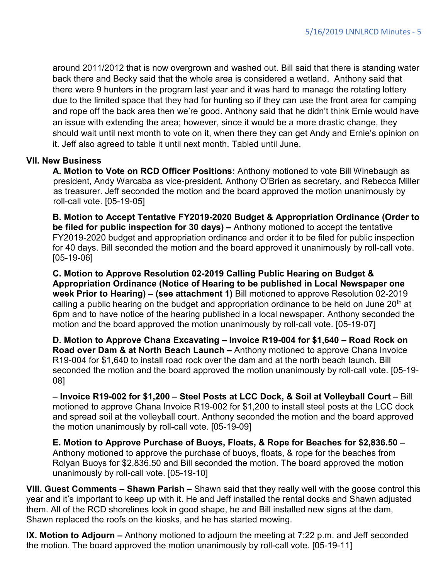around 2011/2012 that is now overgrown and washed out. Bill said that there is standing water back there and Becky said that the whole area is considered a wetland. Anthony said that there were 9 hunters in the program last year and it was hard to manage the rotating lottery due to the limited space that they had for hunting so if they can use the front area for camping and rope off the back area then we're good. Anthony said that he didn't think Ernie would have an issue with extending the area; however, since it would be a more drastic change, they should wait until next month to vote on it, when there they can get Andy and Ernie's opinion on it. Jeff also agreed to table it until next month. Tabled until June.

#### **VII. New Business**

 **A. Motion to Vote on RCD Officer Positions:** Anthony motioned to vote Bill Winebaugh as president, Andy Warcaba as vice-president, Anthony O'Brien as secretary, and Rebecca Miller as treasurer. Jeff seconded the motion and the board approved the motion unanimously by roll-call vote. [05-19-05]

**B. Motion to Accept Tentative FY2019-2020 Budget & Appropriation Ordinance (Order to be filed for public inspection for 30 days) –** Anthony motioned to accept the tentative FY2019-2020 budget and appropriation ordinance and order it to be filed for public inspection for 40 days. Bill seconded the motion and the board approved it unanimously by roll-call vote. [05-19-06]

**C. Motion to Approve Resolution 02-2019 Calling Public Hearing on Budget & Appropriation Ordinance (Notice of Hearing to be published in Local Newspaper one week Prior to Hearing) – (see attachment 1)** Bill motioned to approve Resolution 02-2019 calling a public hearing on the budget and appropriation ordinance to be held on June 20<sup>th</sup> at 6pm and to have notice of the hearing published in a local newspaper. Anthony seconded the motion and the board approved the motion unanimously by roll-call vote. [05-19-07]

**D. Motion to Approve Chana Excavating – Invoice R19-004 for \$1,640 – Road Rock on Road over Dam & at North Beach Launch –** Anthony motioned to approve Chana Invoice R19-004 for \$1,640 to install road rock over the dam and at the north beach launch. Bill seconded the motion and the board approved the motion unanimously by roll-call vote. [05-19- 08]

**– Invoice R19-002 for \$1,200 – Steel Posts at LCC Dock, & Soil at Volleyball Court –** Bill motioned to approve Chana Invoice R19-002 for \$1,200 to install steel posts at the LCC dock and spread soil at the volleyball court. Anthony seconded the motion and the board approved the motion unanimously by roll-call vote. [05-19-09]

**E. Motion to Approve Purchase of Buoys, Floats, & Rope for Beaches for \$2,836.50 –** Anthony motioned to approve the purchase of buoys, floats, & rope for the beaches from Rolyan Buoys for \$2,836.50 and Bill seconded the motion. The board approved the motion unanimously by roll-call vote. [05-19-10]

**VIII. Guest Comments – Shawn Parish –** Shawn said that they really well with the goose control this year and it's important to keep up with it. He and Jeff installed the rental docks and Shawn adjusted them. All of the RCD shorelines look in good shape, he and Bill installed new signs at the dam, Shawn replaced the roofs on the kiosks, and he has started mowing.

**IX. Motion to Adjourn –** Anthony motioned to adjourn the meeting at 7:22 p.m. and Jeff seconded the motion. The board approved the motion unanimously by roll-call vote. [05-19-11]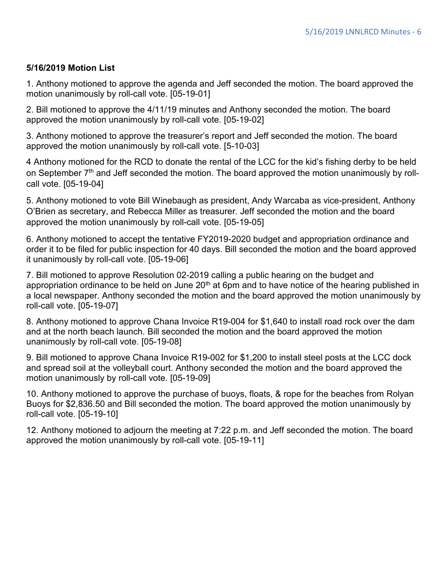#### **5/16/2019 Motion List**

1. Anthony motioned to approve the agenda and Jeff seconded the motion. The board approved the motion unanimously by roll-call vote. [05-19-01]

2. Bill motioned to approve the 4/11/19 minutes and Anthony seconded the motion. The board approved the motion unanimously by roll-call vote. [05-19-02]

3. Anthony motioned to approve the treasurer's report and Jeff seconded the motion. The board approved the motion unanimously by roll-call vote. [5-10-03]

4 Anthony motioned for the RCD to donate the rental of the LCC for the kid's fishing derby to be held on September  $7<sup>th</sup>$  and Jeff seconded the motion. The board approved the motion unanimously by rollcall vote. [05-19-04]

5. Anthony motioned to vote Bill Winebaugh as president, Andy Warcaba as vice-president, Anthony O'Brien as secretary, and Rebecca Miller as treasurer. Jeff seconded the motion and the board approved the motion unanimously by roll-call vote. [05-19-05]

6. Anthony motioned to accept the tentative FY2019-2020 budget and appropriation ordinance and order it to be filed for public inspection for 40 days. Bill seconded the motion and the board approved it unanimously by roll-call vote. [05-19-06]

7. Bill motioned to approve Resolution 02-2019 calling a public hearing on the budget and appropriation ordinance to be held on June  $20<sup>th</sup>$  at 6pm and to have notice of the hearing published in a local newspaper. Anthony seconded the motion and the board approved the motion unanimously by roll-call vote. [05-19-07]

8. Anthony motioned to approve Chana Invoice R19-004 for \$1,640 to install road rock over the dam and at the north beach launch. Bill seconded the motion and the board approved the motion unanimously by roll-call vote. [05-19-08]

9. Bill motioned to approve Chana Invoice R19-002 for \$1,200 to install steel posts at the LCC dock and spread soil at the volleyball court. Anthony seconded the motion and the board approved the motion unanimously by roll-call vote. [05-19-09]

10. Anthony motioned to approve the purchase of buoys, floats, & rope for the beaches from Rolyan Buoys for \$2,836.50 and Bill seconded the motion. The board approved the motion unanimously by roll-call vote. [05-19-10]

12. Anthony motioned to adjourn the meeting at 7:22 p.m. and Jeff seconded the motion. The board approved the motion unanimously by roll-call vote. [05-19-11]